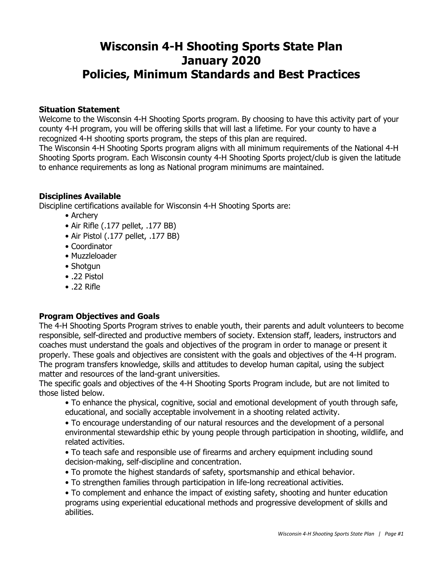# **Wisconsin 4-H Shooting Sports State Plan January 2020 Policies, Minimum Standards and Best Practices**

#### **Situation Statement**

Welcome to the Wisconsin 4-H Shooting Sports program. By choosing to have this activity part of your county 4-H program, you will be offering skills that will last a lifetime. For your county to have a recognized 4-H shooting sports program, the steps of this plan are required.

The Wisconsin 4-H Shooting Sports program aligns with all minimum requirements of the National 4-H Shooting Sports program. Each Wisconsin county 4-H Shooting Sports project/club is given the latitude to enhance requirements as long as National program minimums are maintained.

# **Disciplines Available**

Discipline certifications available for Wisconsin 4-H Shooting Sports are:

- Archery
- Air Rifle (.177 pellet, .177 BB)
- Air Pistol (.177 pellet, .177 BB)
- Coordinator
- Muzzleloader
- Shotgun
- .22 Pistol
- .22 Rifle

# **Program Objectives and Goals**

The 4-H Shooting Sports Program strives to enable youth, their parents and adult volunteers to become responsible, self-directed and productive members of society. Extension staff, leaders, instructors and coaches must understand the goals and objectives of the program in order to manage or present it properly. These goals and objectives are consistent with the goals and objectives of the 4-H program. The program transfers knowledge, skills and attitudes to develop human capital, using the subject matter and resources of the land-grant universities.

The specific goals and objectives of the 4-H Shooting Sports Program include, but are not limited to those listed below.

• To enhance the physical, cognitive, social and emotional development of youth through safe, educational, and socially acceptable involvement in a shooting related activity.

• To encourage understanding of our natural resources and the development of a personal environmental stewardship ethic by young people through participation in shooting, wildlife, and related activities.

• To teach safe and responsible use of firearms and archery equipment including sound decision-making, self-discipline and concentration.

- To promote the highest standards of safety, sportsmanship and ethical behavior.
- To strengthen families through participation in life-long recreational activities.

• To complement and enhance the impact of existing safety, shooting and hunter education programs using experiential educational methods and progressive development of skills and abilities.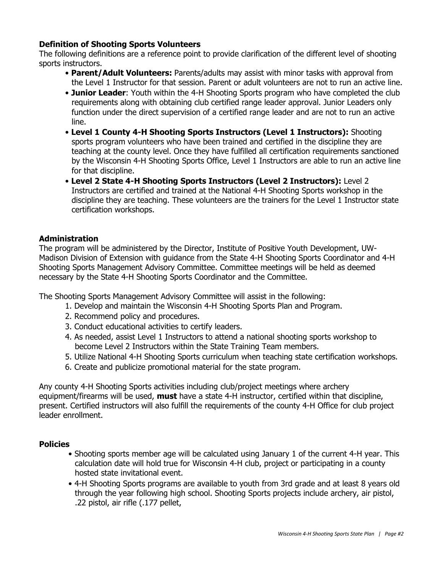### **Definition of Shooting Sports Volunteers**

The following definitions are a reference point to provide clarification of the different level of shooting sports instructors.

- **Parent/Adult Volunteers:** Parents/adults may assist with minor tasks with approval from the Level 1 Instructor for that session. Parent or adult volunteers are not to run an active line.
- **Junior Leader**: Youth within the 4-H Shooting Sports program who have completed the club requirements along with obtaining club certified range leader approval. Junior Leaders only function under the direct supervision of a certified range leader and are not to run an active line.
- **Level 1 County 4-H Shooting Sports Instructors (Level 1 Instructors):** Shooting sports program volunteers who have been trained and certified in the discipline they are teaching at the county level. Once they have fulfilled all certification requirements sanctioned by the Wisconsin 4-H Shooting Sports Office, Level 1 Instructors are able to run an active line for that discipline.
- **Level 2 State 4-H Shooting Sports Instructors (Level 2 Instructors):** Level 2 Instructors are certified and trained at the National 4-H Shooting Sports workshop in the discipline they are teaching. These volunteers are the trainers for the Level 1 Instructor state certification workshops.

#### **Administration**

The program will be administered by the Director, Institute of Positive Youth Development, UW-Madison Division of Extension with guidance from the State 4-H Shooting Sports Coordinator and 4-H Shooting Sports Management Advisory Committee. Committee meetings will be held as deemed necessary by the State 4-H Shooting Sports Coordinator and the Committee.

The Shooting Sports Management Advisory Committee will assist in the following:

- 1. Develop and maintain the Wisconsin 4-H Shooting Sports Plan and Program.
- 2. Recommend policy and procedures.
- 3. Conduct educational activities to certify leaders.
- 4. As needed, assist Level 1 Instructors to attend a national shooting sports workshop to become Level 2 Instructors within the State Training Team members.
- 5. Utilize National 4-H Shooting Sports curriculum when teaching state certification workshops.
- 6. Create and publicize promotional material for the state program.

Any county 4-H Shooting Sports activities including club/project meetings where archery equipment/firearms will be used, **must** have a state 4-H instructor, certified within that discipline, present. Certified instructors will also fulfill the requirements of the county 4-H Office for club project leader enrollment.

#### **Policies**

- Shooting sports member age will be calculated using January 1 of the current 4-H year. This calculation date will hold true for Wisconsin 4-H club, project or participating in a county hosted state invitational event.
- 4-H Shooting Sports programs are available to youth from 3rd grade and at least 8 years old through the year following high school. Shooting Sports projects include archery, air pistol, .22 pistol, air rifle (.177 pellet,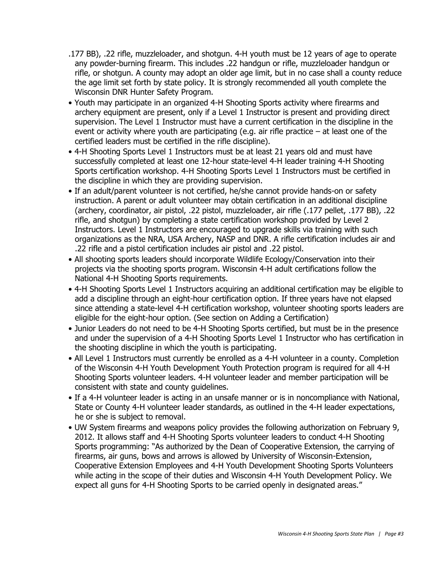- .177 BB), .22 rifle, muzzleloader, and shotgun. 4-H youth must be 12 years of age to operate any powder-burning firearm. This includes .22 handgun or rifle, muzzleloader handgun or rifle, or shotgun. A county may adopt an older age limit, but in no case shall a county reduce the age limit set forth by state policy. It is strongly recommended all youth complete the Wisconsin DNR Hunter Safety Program.
- Youth may participate in an organized 4-H Shooting Sports activity where firearms and archery equipment are present, only if a Level 1 Instructor is present and providing direct supervision. The Level 1 Instructor must have a current certification in the discipline in the event or activity where youth are participating (e.g. air rifle practice  $-$  at least one of the certified leaders must be certified in the rifle discipline).
- 4-H Shooting Sports Level 1 Instructors must be at least 21 years old and must have successfully completed at least one 12-hour state-level 4-H leader training 4-H Shooting Sports certification workshop. 4-H Shooting Sports Level 1 Instructors must be certified in the discipline in which they are providing supervision.
- If an adult/parent volunteer is not certified, he/she cannot provide hands-on or safety instruction. A parent or adult volunteer may obtain certification in an additional discipline (archery, coordinator, air pistol, .22 pistol, muzzleloader, air rifle (.177 pellet, .177 BB), .22 rifle, and shotgun) by completing a state certification workshop provided by Level 2 Instructors. Level 1 Instructors are encouraged to upgrade skills via training with such organizations as the NRA, USA Archery, NASP and DNR. A rifle certification includes air and .22 rifle and a pistol certification includes air pistol and .22 pistol.
- All shooting sports leaders should incorporate Wildlife Ecology/Conservation into their projects via the shooting sports program. Wisconsin 4-H adult certifications follow the National 4-H Shooting Sports requirements.
- 4-H Shooting Sports Level 1 Instructors acquiring an additional certification may be eligible to add a discipline through an eight-hour certification option. If three years have not elapsed since attending a state-level 4-H certification workshop, volunteer shooting sports leaders are eligible for the eight-hour option. (See section on Adding a Certification)
- Junior Leaders do not need to be 4-H Shooting Sports certified, but must be in the presence and under the supervision of a 4-H Shooting Sports Level 1 Instructor who has certification in the shooting discipline in which the youth is participating.
- All Level 1 Instructors must currently be enrolled as a 4-H volunteer in a county. Completion of the Wisconsin 4-H Youth Development Youth Protection program is required for all 4-H Shooting Sports volunteer leaders. 4-H volunteer leader and member participation will be consistent with state and county guidelines.
- If a 4-H volunteer leader is acting in an unsafe manner or is in noncompliance with National, State or County 4-H volunteer leader standards, as outlined in the 4-H leader expectations, he or she is subject to removal.
- UW System firearms and weapons policy provides the following authorization on February 9, 2012. It allows staff and 4-H Shooting Sports volunteer leaders to conduct 4-H Shooting Sports programming: "As authorized by the Dean of Cooperative Extension, the carrying of firearms, air guns, bows and arrows is allowed by University of Wisconsin-Extension, Cooperative Extension Employees and 4-H Youth Development Shooting Sports Volunteers while acting in the scope of their duties and Wisconsin 4-H Youth Development Policy. We expect all guns for 4-H Shooting Sports to be carried openly in designated areas."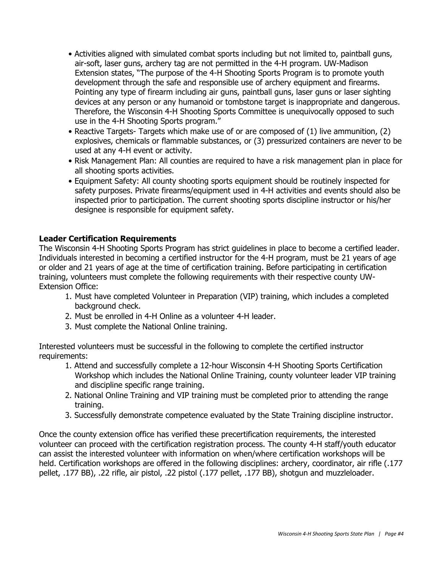- Activities aligned with simulated combat sports including but not limited to, paintball guns, air-soft, laser guns, archery tag are not permitted in the 4-H program. UW-Madison Extension states, "The purpose of the 4-H Shooting Sports Program is to promote youth development through the safe and responsible use of archery equipment and firearms. Pointing any type of firearm including air guns, paintball guns, laser guns or laser sighting devices at any person or any humanoid or tombstone target is inappropriate and dangerous. Therefore, the Wisconsin 4-H Shooting Sports Committee is unequivocally opposed to such use in the 4-H Shooting Sports program."
- Reactive Targets- Targets which make use of or are composed of (1) live ammunition, (2) explosives, chemicals or flammable substances, or (3) pressurized containers are never to be used at any 4-H event or activity.
- Risk Management Plan: All counties are required to have a risk management plan in place for all shooting sports activities.
- Equipment Safety: All county shooting sports equipment should be routinely inspected for safety purposes. Private firearms/equipment used in 4-H activities and events should also be inspected prior to participation. The current shooting sports discipline instructor or his/her designee is responsible for equipment safety.

### **Leader Certification Requirements**

The Wisconsin 4-H Shooting Sports Program has strict guidelines in place to become a certified leader. Individuals interested in becoming a certified instructor for the 4-H program, must be 21 years of age or older and 21 years of age at the time of certification training. Before participating in certification training, volunteers must complete the following requirements with their respective county UW-Extension Office:

- 1. Must have completed Volunteer in Preparation (VIP) training, which includes a completed background check.
- 2. Must be enrolled in 4-H Online as a volunteer 4-H leader.
- 3. Must complete the National Online training.

Interested volunteers must be successful in the following to complete the certified instructor requirements:

- 1. Attend and successfully complete a 12-hour Wisconsin 4-H Shooting Sports Certification Workshop which includes the National Online Training, county volunteer leader VIP training and discipline specific range training.
- 2. National Online Training and VIP training must be completed prior to attending the range training.
- 3. Successfully demonstrate competence evaluated by the State Training discipline instructor.

Once the county extension office has verified these precertification requirements, the interested volunteer can proceed with the certification registration process. The county 4-H staff/youth educator can assist the interested volunteer with information on when/where certification workshops will be held. Certification workshops are offered in the following disciplines: archery, coordinator, air rifle (.177 pellet, .177 BB), .22 rifle, air pistol, .22 pistol (.177 pellet, .177 BB), shotgun and muzzleloader.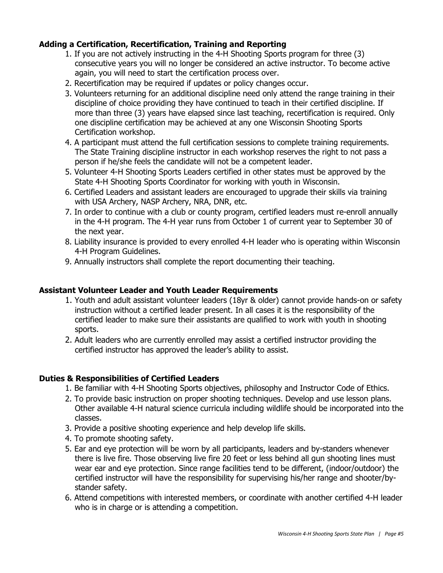# **Adding a Certification, Recertification, Training and Reporting**

- 1. If you are not actively instructing in the 4-H Shooting Sports program for three (3) consecutive years you will no longer be considered an active instructor. To become active again, you will need to start the certification process over.
- 2. Recertification may be required if updates or policy changes occur.
- 3. Volunteers returning for an additional discipline need only attend the range training in their discipline of choice providing they have continued to teach in their certified discipline. If more than three (3) years have elapsed since last teaching, recertification is required. Only one discipline certification may be achieved at any one Wisconsin Shooting Sports Certification workshop.
- 4. A participant must attend the full certification sessions to complete training requirements. The State Training discipline instructor in each workshop reserves the right to not pass a person if he/she feels the candidate will not be a competent leader.
- 5. Volunteer 4-H Shooting Sports Leaders certified in other states must be approved by the State 4-H Shooting Sports Coordinator for working with youth in Wisconsin.
- 6. Certified Leaders and assistant leaders are encouraged to upgrade their skills via training with USA Archery, NASP Archery, NRA, DNR, etc.
- 7. In order to continue with a club or county program, certified leaders must re-enroll annually in the 4-H program. The 4-H year runs from October 1 of current year to September 30 of the next year.
- 8. Liability insurance is provided to every enrolled 4-H leader who is operating within Wisconsin 4-H Program Guidelines.
- 9. Annually instructors shall complete the report documenting their teaching.

#### **Assistant Volunteer Leader and Youth Leader Requirements**

- 1. Youth and adult assistant volunteer leaders (18yr & older) cannot provide hands-on or safety instruction without a certified leader present. In all cases it is the responsibility of the certified leader to make sure their assistants are qualified to work with youth in shooting sports.
- 2. Adult leaders who are currently enrolled may assist a certified instructor providing the certified instructor has approved the leader's ability to assist.

# **Duties & Responsibilities of Certified Leaders**

- 1. Be familiar with 4-H Shooting Sports objectives, philosophy and Instructor Code of Ethics.
- 2. To provide basic instruction on proper shooting techniques. Develop and use lesson plans. Other available 4-H natural science curricula including wildlife should be incorporated into the classes.
- 3. Provide a positive shooting experience and help develop life skills.
- 4. To promote shooting safety.
- 5. Ear and eye protection will be worn by all participants, leaders and by-standers whenever there is live fire. Those observing live fire 20 feet or less behind all gun shooting lines must wear ear and eye protection. Since range facilities tend to be different, (indoor/outdoor) the certified instructor will have the responsibility for supervising his/her range and shooter/bystander safety.
- 6. Attend competitions with interested members, or coordinate with another certified 4-H leader who is in charge or is attending a competition.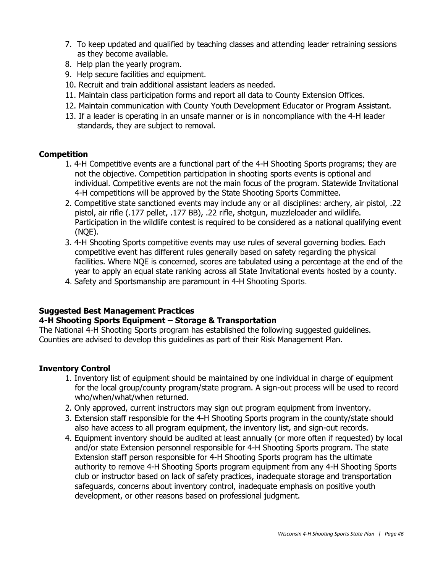- 7. To keep updated and qualified by teaching classes and attending leader retraining sessions as they become available.
- 8. Help plan the yearly program.
- 9. Help secure facilities and equipment.
- 10. Recruit and train additional assistant leaders as needed.
- 11. Maintain class participation forms and report all data to County Extension Offices.
- 12. Maintain communication with County Youth Development Educator or Program Assistant.
- 13. If a leader is operating in an unsafe manner or is in noncompliance with the 4-H leader standards, they are subject to removal.

# **Competition**

- 1. 4-H Competitive events are a functional part of the 4-H Shooting Sports programs; they are not the objective. Competition participation in shooting sports events is optional and individual. Competitive events are not the main focus of the program. Statewide Invitational 4-H competitions will be approved by the State Shooting Sports Committee.
- 2. Competitive state sanctioned events may include any or all disciplines: archery, air pistol, .22 pistol, air rifle (.177 pellet, .177 BB), .22 rifle, shotgun, muzzleloader and wildlife. Participation in the wildlife contest is required to be considered as a national qualifying event (NQE).
- 3. 4-H Shooting Sports competitive events may use rules of several governing bodies. Each competitive event has different rules generally based on safety regarding the physical facilities. Where NQE is concerned, scores are tabulated using a percentage at the end of the year to apply an equal state ranking across all State Invitational events hosted by a county.
- 4. Safety and Sportsmanship are paramount in 4-H Shooting Sports.

# **Suggested Best Management Practices**

# **4-H Shooting Sports Equipment – Storage & Transportation**

The National 4-H Shooting Sports program has established the following suggested guidelines. Counties are advised to develop this guidelines as part of their Risk Management Plan.

# **Inventory Control**

- 1. Inventory list of equipment should be maintained by one individual in charge of equipment for the local group/county program/state program. A sign-out process will be used to record who/when/what/when returned.
- 2. Only approved, current instructors may sign out program equipment from inventory.
- 3. Extension staff responsible for the 4-H Shooting Sports program in the county/state should also have access to all program equipment, the inventory list, and sign-out records.
- 4. Equipment inventory should be audited at least annually (or more often if requested) by local and/or state Extension personnel responsible for 4-H Shooting Sports program. The state Extension staff person responsible for 4-H Shooting Sports program has the ultimate authority to remove 4-H Shooting Sports program equipment from any 4-H Shooting Sports club or instructor based on lack of safety practices, inadequate storage and transportation safeguards, concerns about inventory control, inadequate emphasis on positive youth development, or other reasons based on professional judgment.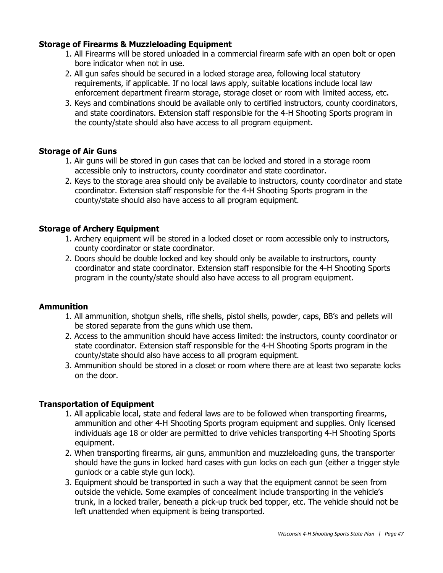## **Storage of Firearms & Muzzleloading Equipment**

- 1. All Firearms will be stored unloaded in a commercial firearm safe with an open bolt or open bore indicator when not in use.
- 2. All gun safes should be secured in a locked storage area, following local statutory requirements, if applicable. If no local laws apply, suitable locations include local law enforcement department firearm storage, storage closet or room with limited access, etc.
- 3. Keys and combinations should be available only to certified instructors, county coordinators, and state coordinators. Extension staff responsible for the 4-H Shooting Sports program in the county/state should also have access to all program equipment.

### **Storage of Air Guns**

- 1. Air guns will be stored in gun cases that can be locked and stored in a storage room accessible only to instructors, county coordinator and state coordinator.
- 2. Keys to the storage area should only be available to instructors, county coordinator and state coordinator. Extension staff responsible for the 4-H Shooting Sports program in the county/state should also have access to all program equipment.

### **Storage of Archery Equipment**

- 1. Archery equipment will be stored in a locked closet or room accessible only to instructors, county coordinator or state coordinator.
- 2. Doors should be double locked and key should only be available to instructors, county coordinator and state coordinator. Extension staff responsible for the 4-H Shooting Sports program in the county/state should also have access to all program equipment.

#### **Ammunition**

- 1. All ammunition, shotgun shells, rifle shells, pistol shells, powder, caps, BB's and pellets will be stored separate from the guns which use them.
- 2. Access to the ammunition should have access limited: the instructors, county coordinator or state coordinator. Extension staff responsible for the 4-H Shooting Sports program in the county/state should also have access to all program equipment.
- 3. Ammunition should be stored in a closet or room where there are at least two separate locks on the door.

# **Transportation of Equipment**

- 1. All applicable local, state and federal laws are to be followed when transporting firearms, ammunition and other 4-H Shooting Sports program equipment and supplies. Only licensed individuals age 18 or older are permitted to drive vehicles transporting 4-H Shooting Sports equipment.
- 2. When transporting firearms, air guns, ammunition and muzzleloading guns, the transporter should have the guns in locked hard cases with gun locks on each gun (either a trigger style gunlock or a cable style gun lock).
- 3. Equipment should be transported in such a way that the equipment cannot be seen from outside the vehicle. Some examples of concealment include transporting in the vehicle's trunk, in a locked trailer, beneath a pick-up truck bed topper, etc. The vehicle should not be left unattended when equipment is being transported.